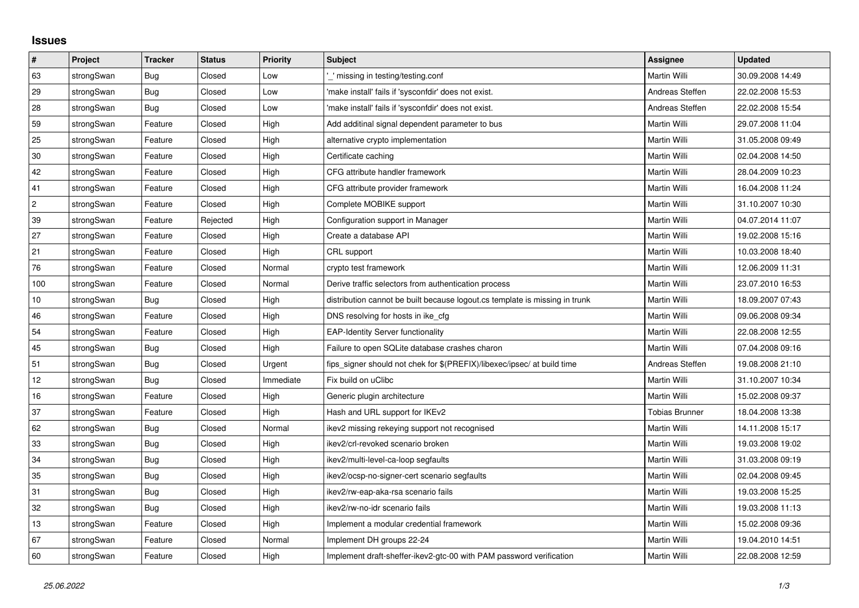## **Issues**

| #              | Project    | <b>Tracker</b> | <b>Status</b> | <b>Priority</b> | <b>Subject</b>                                                              | <b>Assignee</b>       | <b>Updated</b>   |
|----------------|------------|----------------|---------------|-----------------|-----------------------------------------------------------------------------|-----------------------|------------------|
| 63             | strongSwan | <b>Bug</b>     | Closed        | Low             | missing in testing/testing.conf                                             | <b>Martin Willi</b>   | 30.09.2008 14:49 |
| 29             | strongSwan | Bug            | Closed        | Low             | 'make install' fails if 'sysconfdir' does not exist.                        | Andreas Steffen       | 22.02.2008 15:53 |
| 28             | strongSwan | Bug            | Closed        | Low             | 'make install' fails if 'sysconfdir' does not exist.                        | Andreas Steffen       | 22.02.2008 15:54 |
| 59             | strongSwan | Feature        | Closed        | High            | Add additinal signal dependent parameter to bus                             | Martin Willi          | 29.07.2008 11:04 |
| 25             | strongSwan | Feature        | Closed        | High            | alternative crypto implementation                                           | Martin Willi          | 31.05.2008 09:49 |
| 30             | strongSwan | Feature        | Closed        | High            | Certificate caching                                                         | <b>Martin Willi</b>   | 02.04.2008 14:50 |
| 42             | strongSwan | Feature        | Closed        | High            | CFG attribute handler framework                                             | Martin Willi          | 28.04.2009 10:23 |
| 41             | strongSwan | Feature        | Closed        | High            | CFG attribute provider framework                                            | Martin Willi          | 16.04.2008 11:24 |
| $\overline{c}$ | strongSwan | Feature        | Closed        | High            | Complete MOBIKE support                                                     | Martin Willi          | 31.10.2007 10:30 |
| 39             | strongSwan | Feature        | Rejected      | High            | Configuration support in Manager                                            | Martin Willi          | 04.07.2014 11:07 |
| 27             | strongSwan | Feature        | Closed        | High            | Create a database API                                                       | Martin Willi          | 19.02.2008 15:16 |
| 21             | strongSwan | Feature        | Closed        | High            | CRL support                                                                 | Martin Willi          | 10.03.2008 18:40 |
| 76             | strongSwan | Feature        | Closed        | Normal          | crypto test framework                                                       | Martin Willi          | 12.06.2009 11:31 |
| 100            | strongSwan | Feature        | Closed        | Normal          | Derive traffic selectors from authentication process                        | Martin Willi          | 23.07.2010 16:53 |
| $10$           | strongSwan | Bug            | Closed        | High            | distribution cannot be built because logout.cs template is missing in trunk | Martin Willi          | 18.09.2007 07:43 |
| 46             | strongSwan | Feature        | Closed        | High            | DNS resolving for hosts in ike_cfg                                          | Martin Willi          | 09.06.2008 09:34 |
| 54             | strongSwan | Feature        | Closed        | High            | <b>EAP-Identity Server functionality</b>                                    | Martin Willi          | 22.08.2008 12:55 |
| 45             | strongSwan | Bug            | Closed        | High            | Failure to open SQLite database crashes charon                              | Martin Willi          | 07.04.2008 09:16 |
| 51             | strongSwan | <b>Bug</b>     | Closed        | Urgent          | fips signer should not chek for \$(PREFIX)/libexec/ipsec/ at build time     | Andreas Steffen       | 19.08.2008 21:10 |
| 12             | strongSwan | Bug            | Closed        | Immediate       | Fix build on uClibc                                                         | Martin Willi          | 31.10.2007 10:34 |
| $16\,$         | strongSwan | Feature        | Closed        | High            | Generic plugin architecture                                                 | Martin Willi          | 15.02.2008 09:37 |
| 37             | strongSwan | Feature        | Closed        | High            | Hash and URL support for IKEv2                                              | <b>Tobias Brunner</b> | 18.04.2008 13:38 |
| 62             | strongSwan | Bug            | Closed        | Normal          | ikev2 missing rekeying support not recognised                               | Martin Willi          | 14.11.2008 15:17 |
| 33             | strongSwan | Bug            | Closed        | High            | ikev2/crl-revoked scenario broken                                           | Martin Willi          | 19.03.2008 19:02 |
| 34             | strongSwan | Bug            | Closed        | High            | ikev2/multi-level-ca-loop segfaults                                         | Martin Willi          | 31.03.2008 09:19 |
| 35             | strongSwan | Bug            | Closed        | High            | ikev2/ocsp-no-signer-cert scenario segfaults                                | Martin Willi          | 02.04.2008 09:45 |
| 31             | strongSwan | Bug            | Closed        | High            | ikev2/rw-eap-aka-rsa scenario fails                                         | Martin Willi          | 19.03.2008 15:25 |
| 32             | strongSwan | <b>Bug</b>     | Closed        | High            | ikev2/rw-no-idr scenario fails                                              | Martin Willi          | 19.03.2008 11:13 |
| 13             | strongSwan | Feature        | Closed        | High            | Implement a modular credential framework                                    | Martin Willi          | 15.02.2008 09:36 |
| 67             | strongSwan | Feature        | Closed        | Normal          | Implement DH groups 22-24                                                   | Martin Willi          | 19.04.2010 14:51 |
| 60             | strongSwan | Feature        | Closed        | High            | Implement draft-sheffer-ikev2-gtc-00 with PAM password verification         | Martin Willi          | 22.08.2008 12:59 |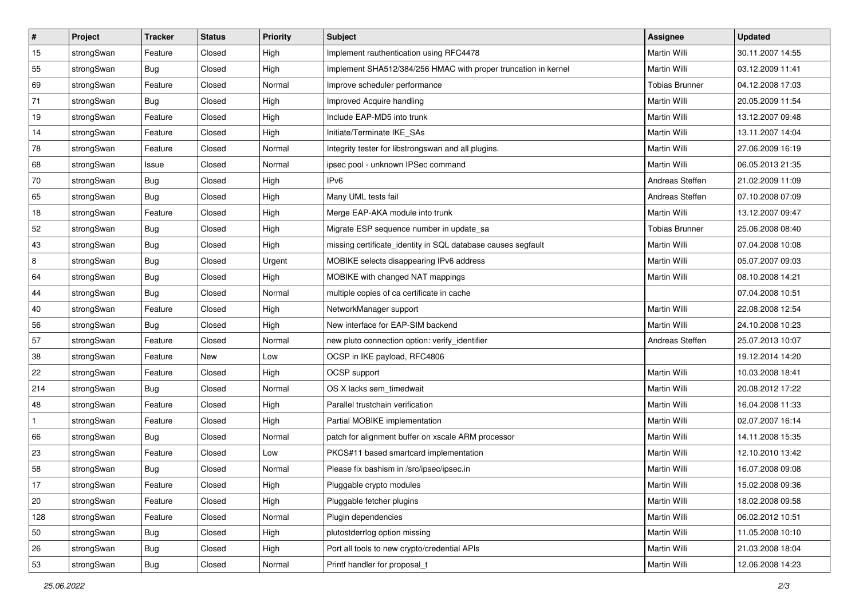| ∦            | Project    | <b>Tracker</b> | <b>Status</b> | <b>Priority</b> | <b>Subject</b>                                                 | Assignee              | <b>Updated</b>   |
|--------------|------------|----------------|---------------|-----------------|----------------------------------------------------------------|-----------------------|------------------|
| 15           | strongSwan | Feature        | Closed        | High            | Implement rauthentication using RFC4478                        | Martin Willi          | 30.11.2007 14:55 |
| 55           | strongSwan | Bug            | Closed        | High            | Implement SHA512/384/256 HMAC with proper truncation in kernel | Martin Willi          | 03.12.2009 11:41 |
| 69           | strongSwan | Feature        | Closed        | Normal          | Improve scheduler performance                                  | <b>Tobias Brunner</b> | 04.12.2008 17:03 |
| 71           | strongSwan | Bug            | Closed        | High            | Improved Acquire handling                                      | Martin Willi          | 20.05.2009 11:54 |
| 19           | strongSwan | Feature        | Closed        | High            | Include EAP-MD5 into trunk                                     | <b>Martin Willi</b>   | 13.12.2007 09:48 |
| 14           | strongSwan | Feature        | Closed        | High            | Initiate/Terminate IKE_SAs                                     | Martin Willi          | 13.11.2007 14:04 |
| 78           | strongSwan | Feature        | Closed        | Normal          | Integrity tester for libstrongswan and all plugins.            | Martin Willi          | 27.06.2009 16:19 |
| 68           | strongSwan | Issue          | Closed        | Normal          | ipsec pool - unknown IPSec command                             | Martin Willi          | 06.05.2013 21:35 |
| 70           | strongSwan | <b>Bug</b>     | Closed        | High            | IPv6                                                           | Andreas Steffen       | 21.02.2009 11:09 |
| 65           | strongSwan | <b>Bug</b>     | Closed        | High            | Many UML tests fail                                            | Andreas Steffen       | 07.10.2008 07:09 |
| 18           | strongSwan | Feature        | Closed        | High            | Merge EAP-AKA module into trunk                                | Martin Willi          | 13.12.2007 09:47 |
| 52           | strongSwan | <b>Bug</b>     | Closed        | High            | Migrate ESP sequence number in update_sa                       | <b>Tobias Brunner</b> | 25.06.2008 08:40 |
| 43           | strongSwan | Bug            | Closed        | High            | missing certificate_identity in SQL database causes segfault   | Martin Willi          | 07.04.2008 10:08 |
| 8            | strongSwan | Bug            | Closed        | Urgent          | MOBIKE selects disappearing IPv6 address                       | Martin Willi          | 05.07.2007 09:03 |
| 64           | strongSwan | Bug            | Closed        | High            | MOBIKE with changed NAT mappings                               | <b>Martin Willi</b>   | 08.10.2008 14:21 |
| 44           | strongSwan | Bug            | Closed        | Normal          | multiple copies of ca certificate in cache                     |                       | 07.04.2008 10:51 |
| 40           | strongSwan | Feature        | Closed        | High            | NetworkManager support                                         | <b>Martin Willi</b>   | 22.08.2008 12:54 |
| 56           | strongSwan | Bug            | Closed        | High            | New interface for EAP-SIM backend                              | Martin Willi          | 24.10.2008 10:23 |
| 57           | strongSwan | Feature        | Closed        | Normal          | new pluto connection option: verify_identifier                 | Andreas Steffen       | 25.07.2013 10:07 |
| 38           | strongSwan | Feature        | New           | Low             | OCSP in IKE payload, RFC4806                                   |                       | 19.12.2014 14:20 |
| 22           | strongSwan | Feature        | Closed        | High            | OCSP support                                                   | Martin Willi          | 10.03.2008 18:41 |
| 214          | strongSwan | Bug            | Closed        | Normal          | OS X lacks sem_timedwait                                       | Martin Willi          | 20.08.2012 17:22 |
| 48           | strongSwan | Feature        | Closed        | High            | Parallel trustchain verification                               | <b>Martin Willi</b>   | 16.04.2008 11:33 |
| $\mathbf{1}$ | strongSwan | Feature        | Closed        | High            | Partial MOBIKE implementation                                  | Martin Willi          | 02.07.2007 16:14 |
| 66           | strongSwan | Bug            | Closed        | Normal          | patch for alignment buffer on xscale ARM processor             | Martin Willi          | 14.11.2008 15:35 |
| 23           | strongSwan | Feature        | Closed        | Low             | PKCS#11 based smartcard implementation                         | <b>Martin Willi</b>   | 12.10.2010 13:42 |
| 58           | strongSwan | Bug            | Closed        | Normal          | Please fix bashism in /src/ipsec/ipsec.in                      | Martin Willi          | 16.07.2008 09:08 |
| $17$         | strongSwan | Feature        | Closed        | High            | Pluggable crypto modules                                       | Martin Willi          | 15.02.2008 09:36 |
| 20           | strongSwan | Feature        | Closed        | High            | Pluggable fetcher plugins                                      | Martin Willi          | 18.02.2008 09:58 |
| 128          | strongSwan | Feature        | Closed        | Normal          | Plugin dependencies                                            | Martin Willi          | 06.02.2012 10:51 |
| 50           | strongSwan | Bug            | Closed        | High            | plutostderrlog option missing                                  | Martin Willi          | 11.05.2008 10:10 |
| 26           | strongSwan | Bug            | Closed        | High            | Port all tools to new crypto/credential APIs                   | Martin Willi          | 21.03.2008 18:04 |
| 53           | strongSwan | <b>Bug</b>     | Closed        | Normal          | Printf handler for proposal t                                  | Martin Willi          | 12.06.2008 14:23 |